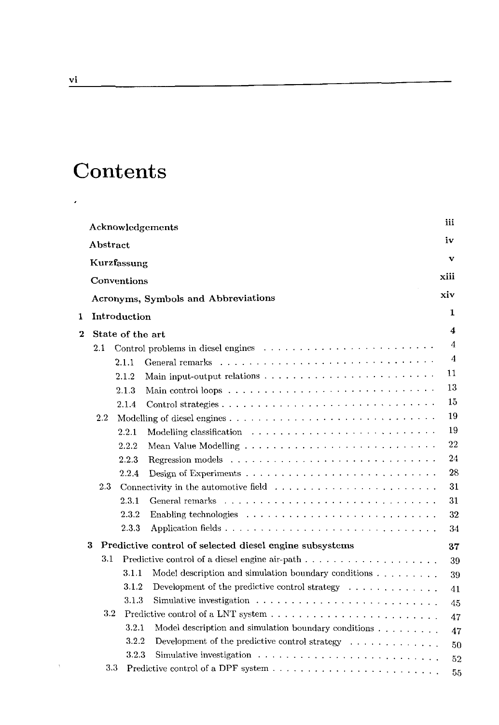## **Contents**

|              | Acknowledgements                    |                                                                                                                                                                                                                                           |                  |                                                                                            |    |  |  |  |
|--------------|-------------------------------------|-------------------------------------------------------------------------------------------------------------------------------------------------------------------------------------------------------------------------------------------|------------------|--------------------------------------------------------------------------------------------|----|--|--|--|
|              | ${\bf Abstract}$                    |                                                                                                                                                                                                                                           |                  |                                                                                            |    |  |  |  |
|              | Kurzfassung                         |                                                                                                                                                                                                                                           |                  |                                                                                            |    |  |  |  |
|              | Conventions                         |                                                                                                                                                                                                                                           |                  |                                                                                            |    |  |  |  |
|              |                                     |                                                                                                                                                                                                                                           |                  |                                                                                            |    |  |  |  |
|              | Acronyms, Symbols and Abbreviations |                                                                                                                                                                                                                                           |                  |                                                                                            |    |  |  |  |
| 1            | Introduction                        |                                                                                                                                                                                                                                           |                  |                                                                                            |    |  |  |  |
| 2            |                                     |                                                                                                                                                                                                                                           | State of the art |                                                                                            |    |  |  |  |
|              |                                     | Control problems in diesel engines (a) and a control of the set of the set of the set of the set of the set of the set of the set of the set of the set of the set of the set of the set of the set of the set of the set of t<br>$2.1\,$ |                  |                                                                                            |    |  |  |  |
|              |                                     |                                                                                                                                                                                                                                           | 2.1.1            |                                                                                            | 4  |  |  |  |
|              |                                     |                                                                                                                                                                                                                                           | 2.1.2            |                                                                                            | 11 |  |  |  |
|              |                                     |                                                                                                                                                                                                                                           | 2.1.3            |                                                                                            | 13 |  |  |  |
|              |                                     |                                                                                                                                                                                                                                           | 2.1.4            |                                                                                            | 15 |  |  |  |
|              |                                     | $2.2\,$                                                                                                                                                                                                                                   |                  |                                                                                            | 19 |  |  |  |
|              |                                     |                                                                                                                                                                                                                                           | 2.2.1            |                                                                                            | 19 |  |  |  |
|              |                                     |                                                                                                                                                                                                                                           | 2.2.2            |                                                                                            | 22 |  |  |  |
|              |                                     |                                                                                                                                                                                                                                           | 2.2.3            |                                                                                            | 24 |  |  |  |
|              |                                     |                                                                                                                                                                                                                                           | 2.2.4            |                                                                                            | 28 |  |  |  |
|              |                                     | 2.3                                                                                                                                                                                                                                       |                  | 31                                                                                         |    |  |  |  |
|              |                                     |                                                                                                                                                                                                                                           | 2.3.1            |                                                                                            | 31 |  |  |  |
|              |                                     |                                                                                                                                                                                                                                           | 2.3.2            |                                                                                            | 32 |  |  |  |
|              |                                     |                                                                                                                                                                                                                                           | 2.3.3            |                                                                                            | 34 |  |  |  |
|              | 3                                   |                                                                                                                                                                                                                                           |                  | Predictive control of selected diesel engine subsystems                                    | 37 |  |  |  |
|              |                                     | 3.1                                                                                                                                                                                                                                       |                  | Predictive control of a diesel engine air-path $\dots \dots \dots \dots \dots \dots \dots$ | 39 |  |  |  |
|              |                                     |                                                                                                                                                                                                                                           | 3.1.1            | Model description and simulation boundary conditions $\dots \dots$                         | 39 |  |  |  |
|              |                                     |                                                                                                                                                                                                                                           | 3.1.2            | Development of the predictive control strategy $\dots \dots \dots \dots$                   | 41 |  |  |  |
|              |                                     |                                                                                                                                                                                                                                           | 3.1.3            | Simulative investigation $\ldots \ldots \ldots \ldots \ldots \ldots \ldots \ldots \ldots$  | 45 |  |  |  |
|              |                                     | $3.2\,$                                                                                                                                                                                                                                   |                  |                                                                                            | 47 |  |  |  |
|              |                                     |                                                                                                                                                                                                                                           | 3.2.1            |                                                                                            | 47 |  |  |  |
|              |                                     |                                                                                                                                                                                                                                           | 3.2.2            | Development of the predictive control strategy $\dots \dots \dots \dots$                   | 50 |  |  |  |
|              |                                     |                                                                                                                                                                                                                                           | 3.2.3            | Simulative investigation $\ldots \ldots \ldots \ldots \ldots \ldots \ldots \ldots \ldots$  | 52 |  |  |  |
| $_{\rm 3.3}$ |                                     |                                                                                                                                                                                                                                           |                  |                                                                                            | 55 |  |  |  |

 $\epsilon$ 

 $\sim$   $\chi$